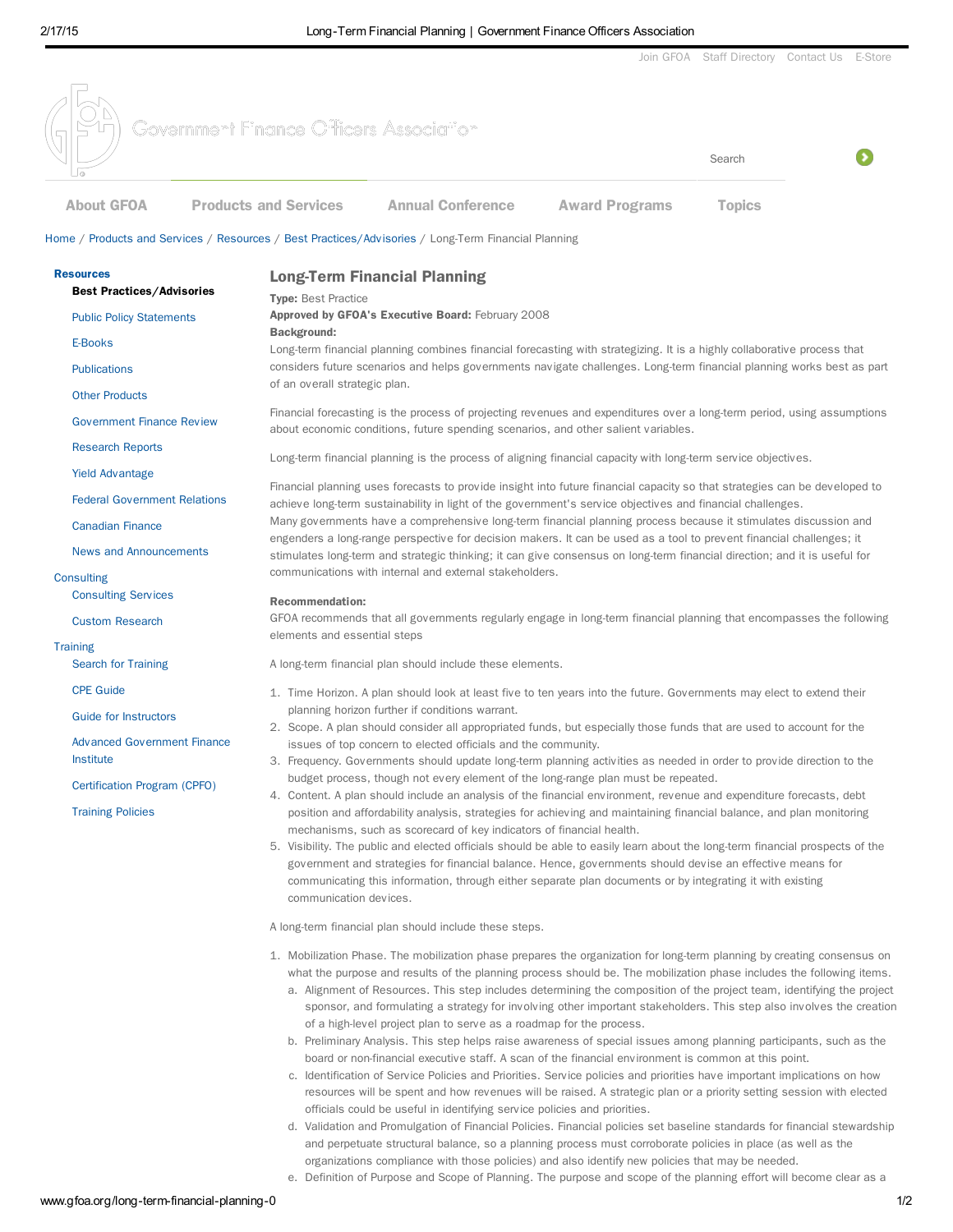

and perpetuate structural balance, so a planning process must corroborate policies in place (as well as the

e. Definition of Purpose and Scope of Planning. The purpose and scope of the planning effort will become clear as a

organizations compliance with those policies) and also identify new policies that may be needed.

www.gfoa.org/long-term-financial-planning-0 1/2